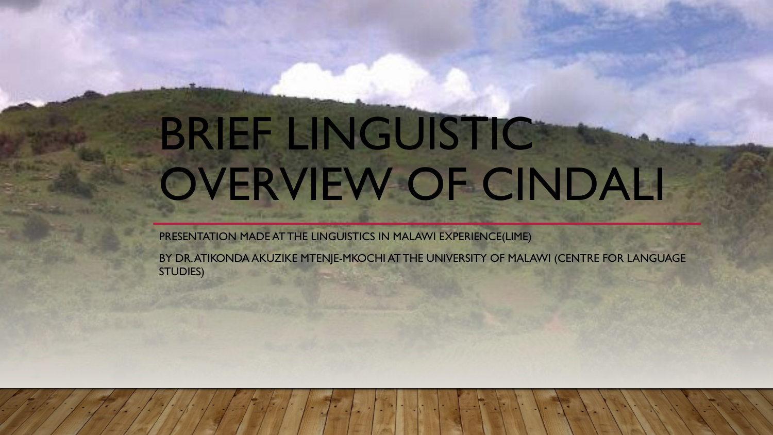# BRIEF LINGUISTIC OVERVIEW OF CINDALI

PRESENTATION MADE AT THE LINGUISTICS IN MALAWI EXPERIENCE(LIME)

BY DR. ATIKONDA AKUZIKE MTENJE-MKOCHI AT THE UNIVERSITY OF MALAWI (CENTRE FOR LANGUAGE STUDIES)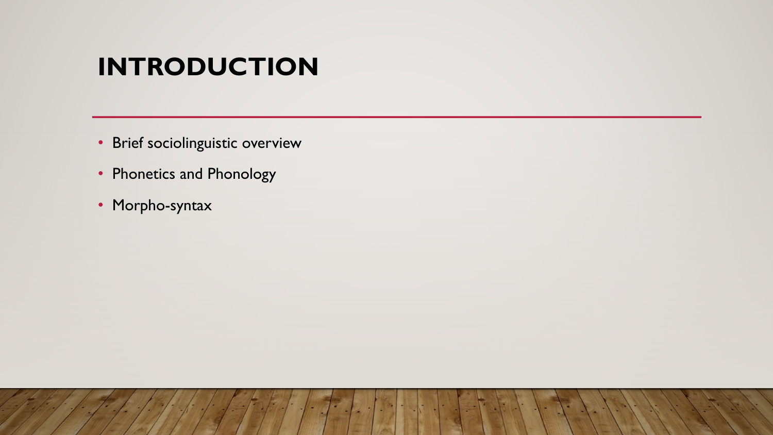#### **INTRODUCTION**

- Brief sociolinguistic overview
- Phonetics and Phonology
- Morpho-syntax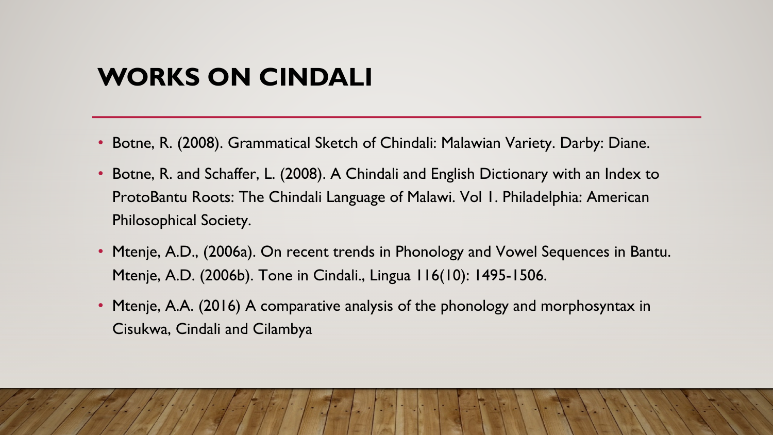#### **WORKS ON CINDALI**

- Botne, R. (2008). Grammatical Sketch of Chindali: Malawian Variety. Darby: Diane.
- Botne, R. and Schaffer, L. (2008). A Chindali and English Dictionary with an Index to ProtoBantu Roots: The Chindali Language of Malawi. Vol 1. Philadelphia: American Philosophical Society.
- Mtenje, A.D., (2006a). On recent trends in Phonology and Vowel Sequences in Bantu. Mtenje, A.D. (2006b). Tone in Cindali., Lingua 116(10): 1495-1506.
- Mtenje, A.A. (2016) A comparative analysis of the phonology and morphosyntax in Cisukwa, Cindali and Cilambya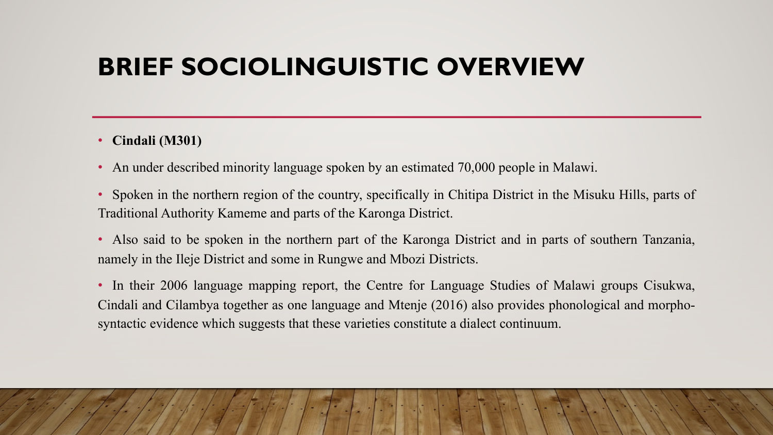#### **BRIEF SOCIOLINGUISTIC OVERVIEW**

#### • **Cindali (M301)**

- An under described minority language spoken by an estimated 70,000 people in Malawi.
- Spoken in the northern region of the country, specifically in Chitipa District in the Misuku Hills, parts of Traditional Authority Kameme and parts of the Karonga District.
- Also said to be spoken in the northern part of the Karonga District and in parts of southern Tanzania, namely in the Ileje District and some in Rungwe and Mbozi Districts.
- In their 2006 language mapping report, the Centre for Language Studies of Malawi groups Cisukwa, Cindali and Cilambya together as one language and Mtenje (2016) also provides phonological and morphosyntactic evidence which suggests that these varieties constitute a dialect continuum.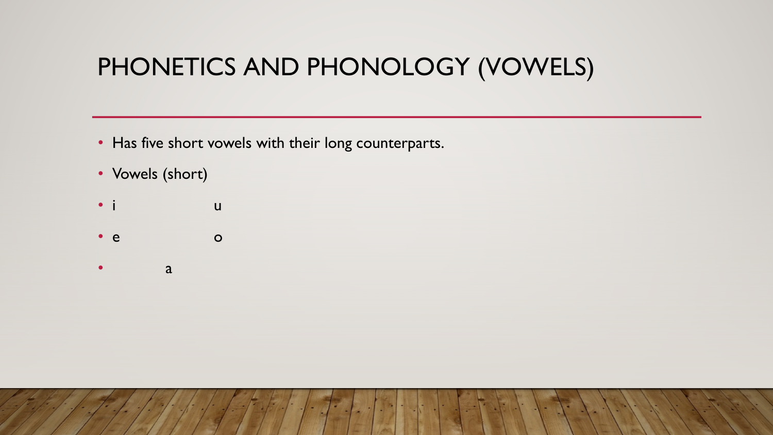#### PHONETICS AND PHONOLOGY (VOWELS)

- Has five short vowels with their long counterparts.
- Vowels (short)
- i u
- $\bullet$  e o
- a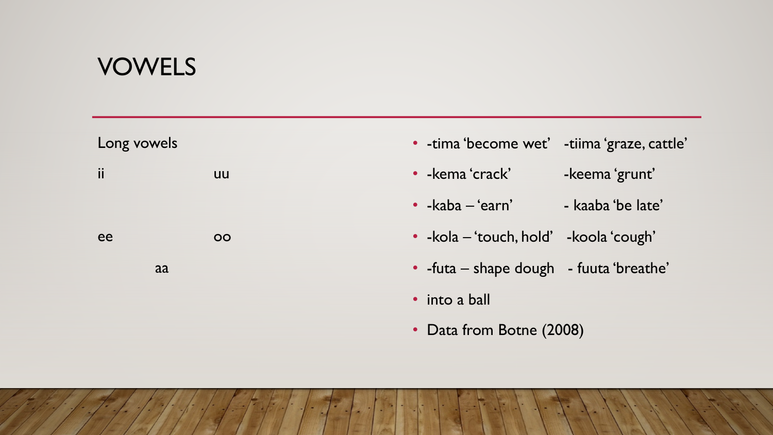#### VOWELS

| Long vowels |    | • - tima 'become wet' - tiima 'graze, cattle' |                   |
|-------------|----|-----------------------------------------------|-------------------|
| ii          | uu | • - kema 'crack'                              | -keema 'grunt'    |
|             |    | $\cdot$ -kaba – 'earn'                        | - kaaba 'be late' |
| ee          | OO | • - kola – 'touch, hold' - koola 'cough'      |                   |
| aa          |    | • -futa – shape dough - fuuta 'breathe'       |                   |
|             |    | • into a ball                                 |                   |
|             |    | • Data from Botne (2008)                      |                   |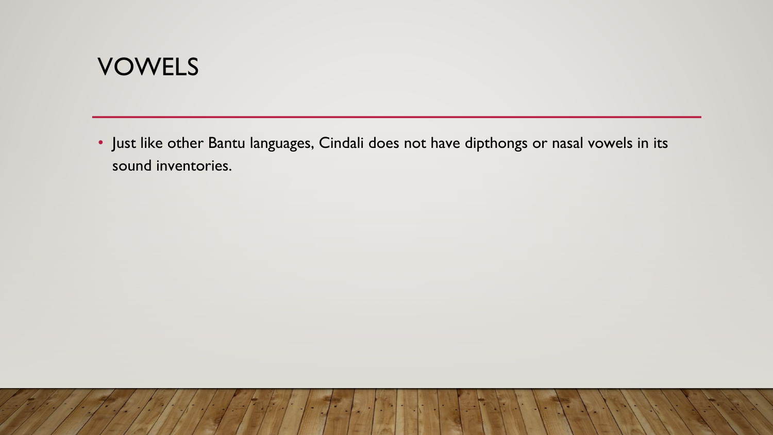#### **VOWELS**

• Just like other Bantu languages, Cindali does not have dipthongs or nasal vowels in its sound inventories.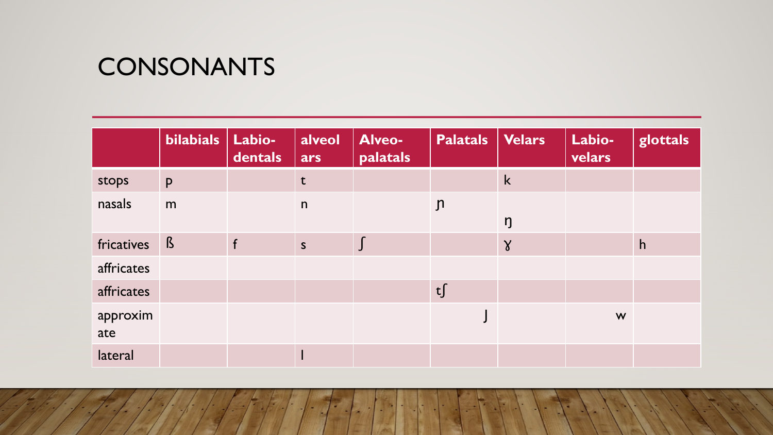#### **CONSONANTS**

|                 | <b>bilabials</b> | Labio-<br>dentals | alveol<br>ars | Alveo-<br>palatals | <b>Palatals</b> | <b>Velars</b> | Labio-<br>velars | glottals |
|-----------------|------------------|-------------------|---------------|--------------------|-----------------|---------------|------------------|----------|
| stops           | <b>P</b>         |                   | $\mathbf t$   |                    |                 | k             |                  |          |
| nasals          | m                |                   | n             |                    | $\mathsf{n}$    | ŋ             |                  |          |
| fricatives      | $\beta$          | f                 | $\mathsf{S}$  | $\int$             |                 | $\gamma$      |                  | h        |
| affricates      |                  |                   |               |                    |                 |               |                  |          |
| affricates      |                  |                   |               |                    | t               |               |                  |          |
| approxim<br>ate |                  |                   |               |                    |                 |               | W                |          |
| lateral         |                  |                   |               |                    |                 |               |                  |          |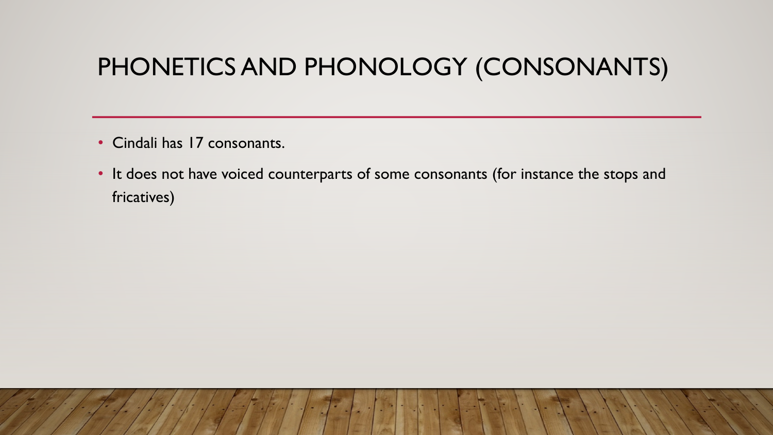#### PHONETICS AND PHONOLOGY (CONSONANTS)

- Cindali has 17 consonants.
- It does not have voiced counterparts of some consonants (for instance the stops and fricatives)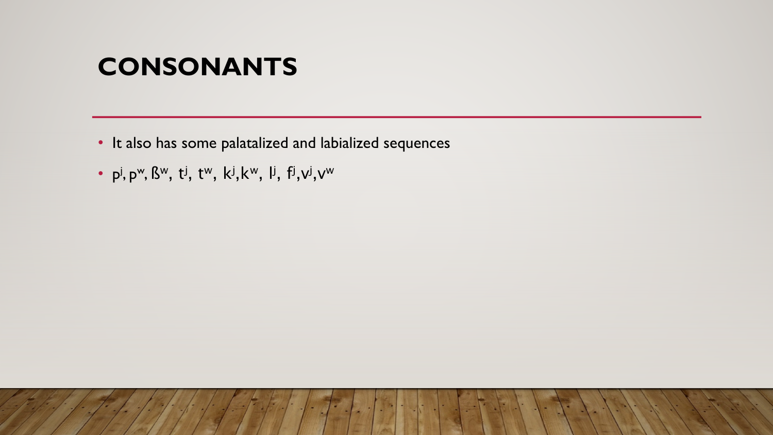#### **CONSONANTS**

- It also has some palatalized and labialized sequences
- p<sup>j</sup>, p<sup>w</sup>, ß<sup>w</sup>, t<sup>j</sup>, t<sup>w</sup>, k<sup>j</sup>,k<sup>w</sup>, l<sup>j</sup>, f<sup>j</sup>,v<sup>j</sup>,v<sup>w</sup>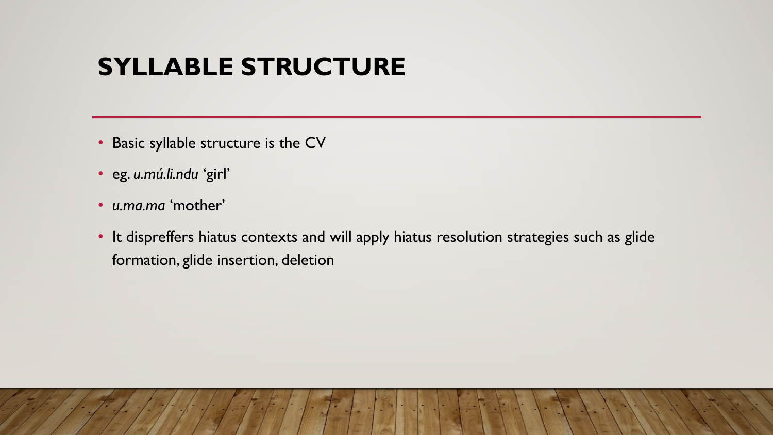#### **SYLLABLE STRUCTURE**

- Basic syllable structure is the CV
- eg. *u.mú.li.ndu* 'girl'
- *u.ma.ma* 'mother'
- It dispreffers hiatus contexts and will apply hiatus resolution strategies such as glide formation, glide insertion, deletion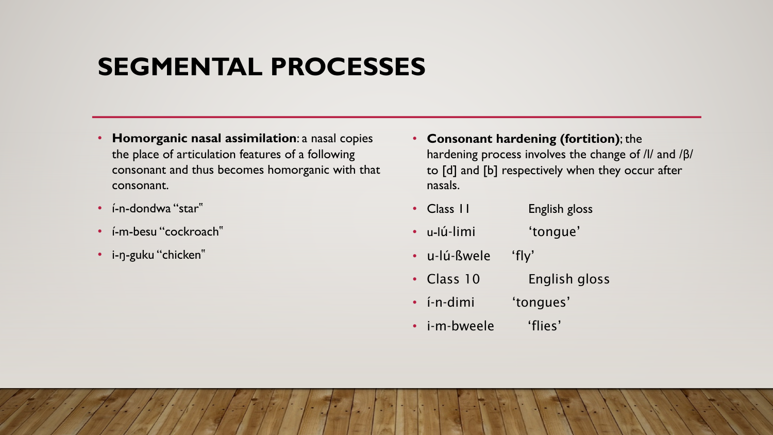#### **SEGMENTAL PROCESSES**

- **Homorganic nasal assimilation**: a nasal copies the place of articulation features of a following consonant and thus becomes homorganic with that consonant.
- í-n-dondwa "star"
- í-m-besu "cockroach"
- i-ŋ-guku "chicken"
- **Consonant hardening (fortition)**; the hardening process involves the change of /l/ and /β/ to [d] and [b] respectively when they occur after nasals.
- Class II English gloss
- u-lú-limi 'tongue'
- u-lú-ßwele 'fly'
- Class 10 English gloss
- í-n-dimi 'tongues'
- i-m-bweele 'flies'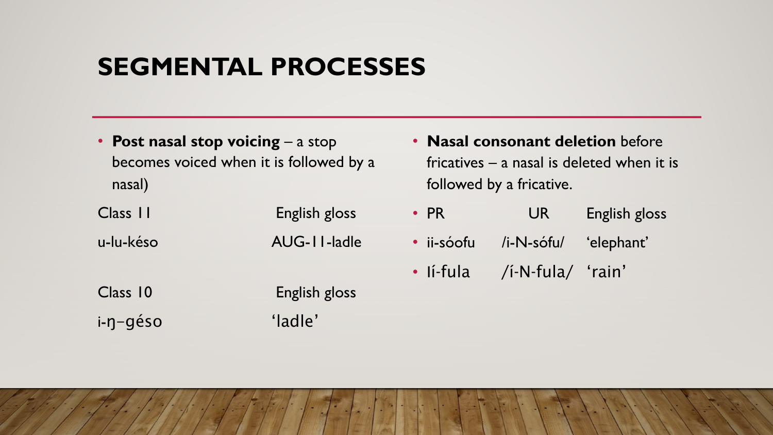#### **SEGMENTAL PROCESSES**

• **Post nasal stop voicing** – a stop becomes voiced when it is followed by a nasal)

| Class III | English gloss |
|-----------|---------------|
| u-lu-késo | AUG-11-ladle  |
| Class 10  | English gloss |
| i-ŋ-géso  | 'ladle'       |

- **Nasal consonant deletion** before fricatives – a nasal is deleted when it is followed by a fricative.
- PR UR English gloss
- ii-sóofu /i-N-sófu/ 'elephant'
- Ií-fula /í-N-fula/ 'rain'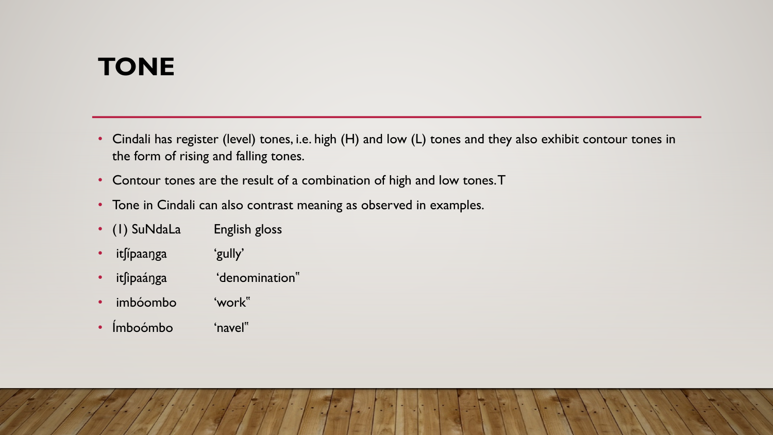# **TONE**

- Cindali has register (level) tones, i.e. high (H) and low (L) tones and they also exhibit contour tones in the form of rising and falling tones.
- Contour tones are the result of a combination of high and low tones. T
- Tone in Cindali can also contrast meaning as observed in examples.
- (1) SuNdaLa English gloss
- itʃípaaŋga 'gully'
- itfipaánga 'denomination"
- imbóombo 'work"
- Ímboómbo 'navel"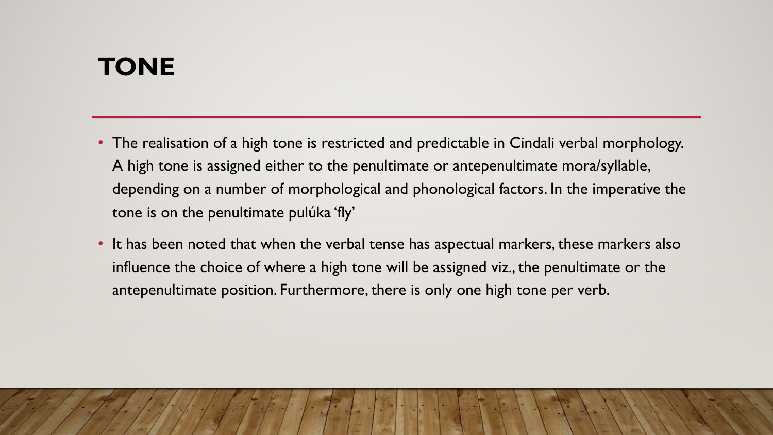# **TONE**

- The realisation of a high tone is restricted and predictable in Cindali verbal morphology. A high tone is assigned either to the penultimate or antepenultimate mora/syllable, depending on a number of morphological and phonological factors. In the imperative the tone is on the penultimate pulúka 'fly'
- It has been noted that when the verbal tense has aspectual markers, these markers also influence the choice of where a high tone will be assigned viz., the penultimate or the antepenultimate position. Furthermore, there is only one high tone per verb.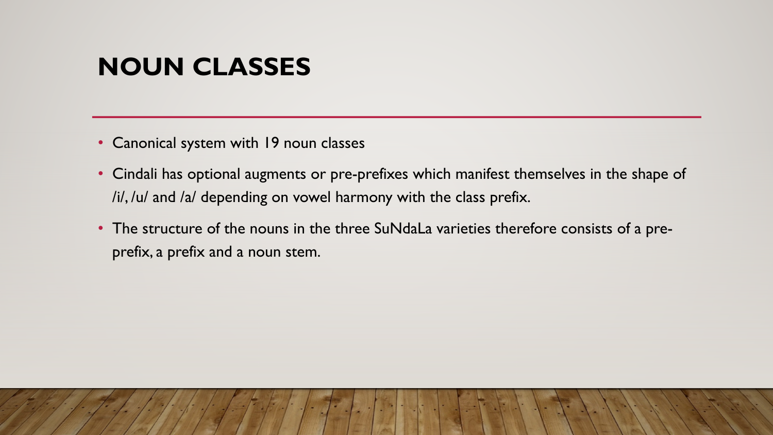- Canonical system with 19 noun classes
- Cindali has optional augments or pre-prefixes which manifest themselves in the shape of /i/, /u/ and /a/ depending on vowel harmony with the class prefix.
- The structure of the nouns in the three SuNdaLa varieties therefore consists of a preprefix, a prefix and a noun stem.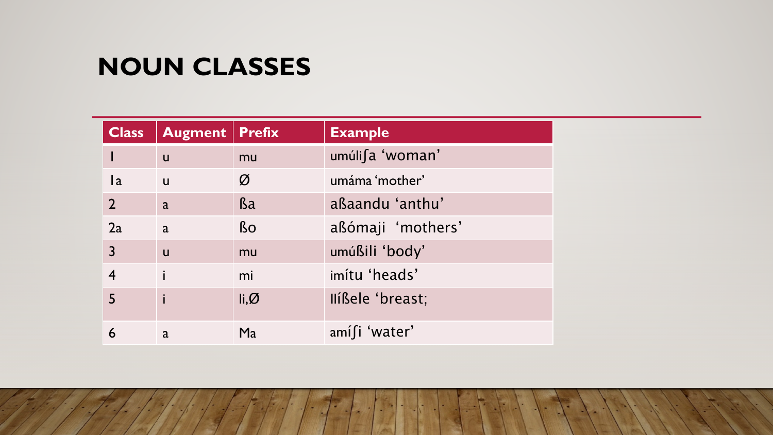| <b>Class</b>   | <b>Augment   Prefix</b> |                          | <b>Example</b>    |
|----------------|-------------------------|--------------------------|-------------------|
| I              | $\mathsf{u}$            | mu                       | umúli∫a 'woman'   |
| a              | $\mathsf{u}$            | Ø                        | umáma 'mother'    |
| $\overline{2}$ | a                       | <b>Ba</b>                | aßaandu 'anthu'   |
| 2a             | a                       | <b>Bo</b>                | aßómaji 'mothers' |
| 3              | $\mathsf{u}$            | mu                       | umúßili 'body'    |
| $\overline{4}$ |                         | mi                       | imítu 'heads'     |
| 5              |                         | $\mathsf{li}\mathcal{Q}$ | Ilíßele 'breast;  |
| 6              | a                       | Ma                       | amifi 'water'     |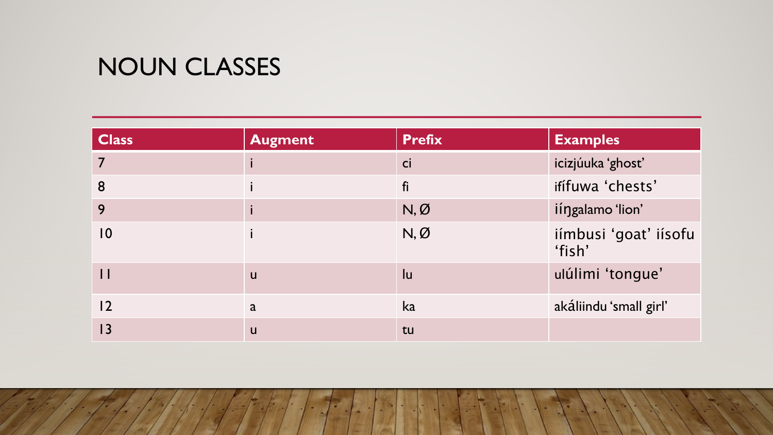| <b>Class</b> | <b>Augment</b> | <b>Prefix</b> | <b>Examples</b>                 |
|--------------|----------------|---------------|---------------------------------|
|              |                | ci            | icizjúuka 'ghost'               |
| 8            |                | fi            | ifífuwa 'chests'                |
| 9            |                | N, Ø          | iíngalamo 'lion'                |
| 0            |                | N, Ø          | iímbusi 'goat' iísofu<br>'fish' |
| $\mathsf{I}$ | u              | lu            | ulúlimi 'tongue'                |
| 2            | a              | ka            | akáliindu 'small girl'          |
| 3            | U              | tu            |                                 |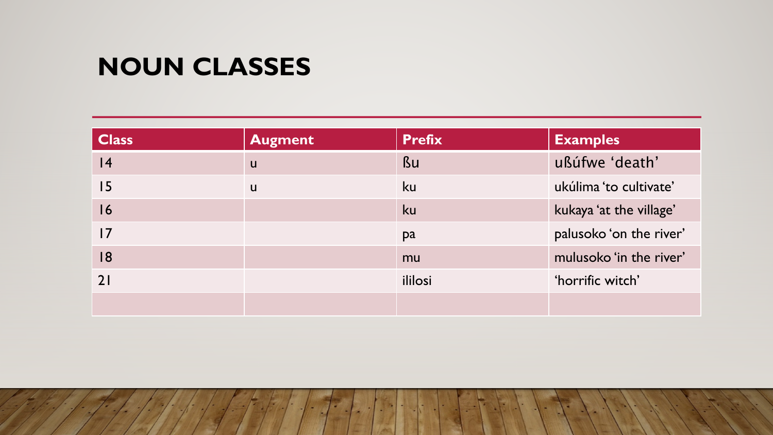| <b>Class</b>    | <b>Augment</b> | <b>Prefix</b> | <b>Examples</b>         |
|-----------------|----------------|---------------|-------------------------|
| 4               | u              | <b>Bu</b>     | ußúfwe 'death'          |
| 15              | u              | <b>ku</b>     | ukúlima 'to cultivate'  |
| 16              |                | ku            | kukaya 'at the village' |
| $\overline{17}$ |                | pa            | palusoko 'on the river' |
| 18              |                | mu            | mulusoko 'in the river' |
| 21              |                | ililosi       | 'horrific witch'        |
|                 |                |               |                         |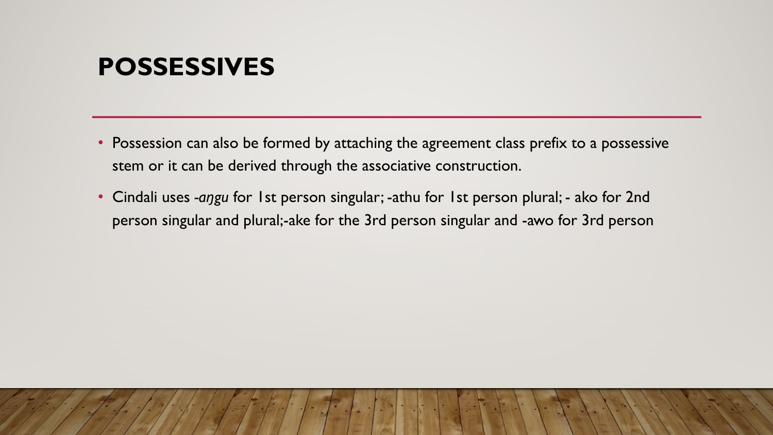#### **POSSESSIVES**

- Possession can also be formed by attaching the agreement class prefix to a possessive stem or it can be derived through the associative construction.
- Cindali uses *-aŋgu* for 1st person singular; -athu for 1st person plural; ako for 2nd person singular and plural;-ake for the 3rd person singular and -awo for 3rd person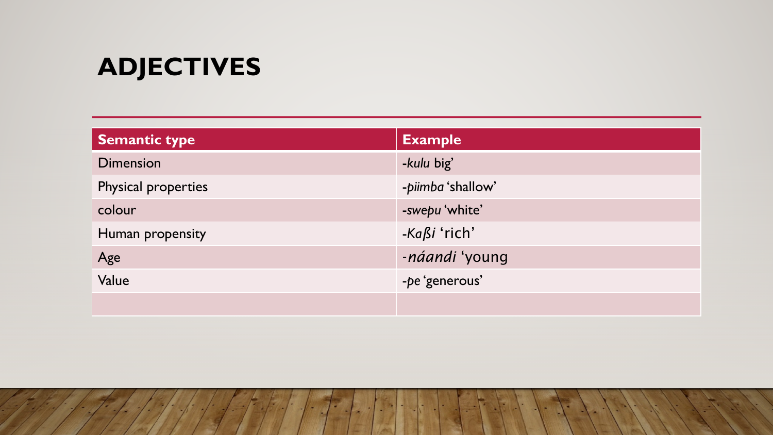# **ADJECTIVES**

| Semantic type       | <b>Example</b>    |
|---------------------|-------------------|
| <b>Dimension</b>    | -kulu big'        |
| Physical properties | -piimba 'shallow' |
| colour              | -swepu 'white'    |
| Human propensity    | -Kaßi 'rich'      |
| Age                 | -náandi 'young    |
| Value               | -pe 'generous'    |
|                     |                   |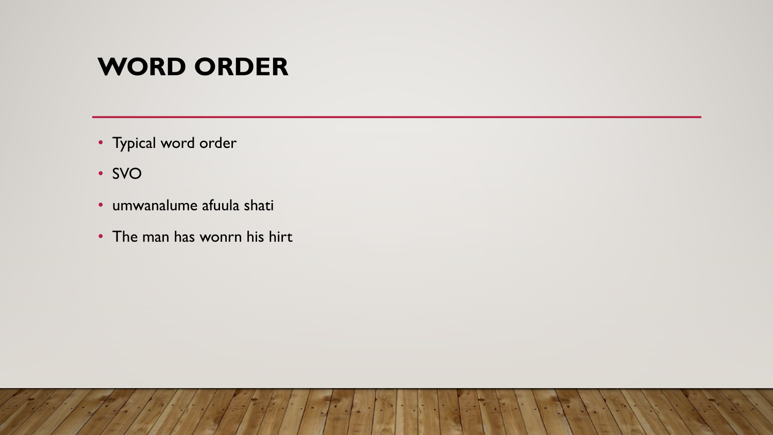#### **WORD ORDER**

- Typical word order
- SVO
- umwanalume afuula shati
- The man has wonrn his hirt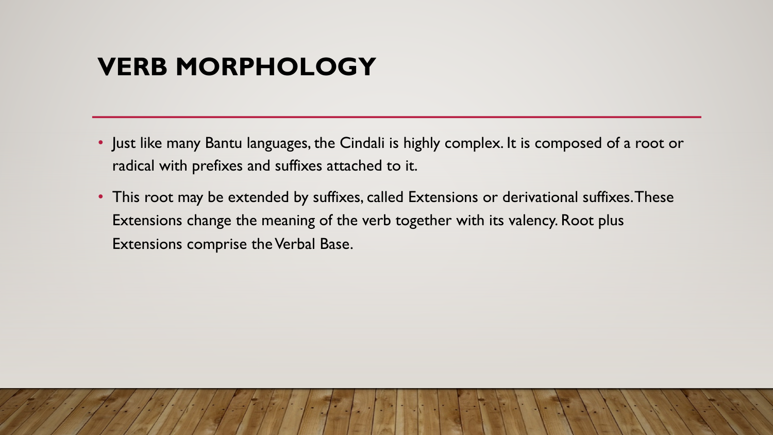#### **VERB MORPHOLOGY**

- Just like many Bantu languages, the Cindali is highly complex. It is composed of a root or radical with prefixes and suffixes attached to it.
- This root may be extended by suffixes, called Extensions or derivational suffixes. These Extensions change the meaning of the verb together with its valency. Root plus Extensions comprise the Verbal Base.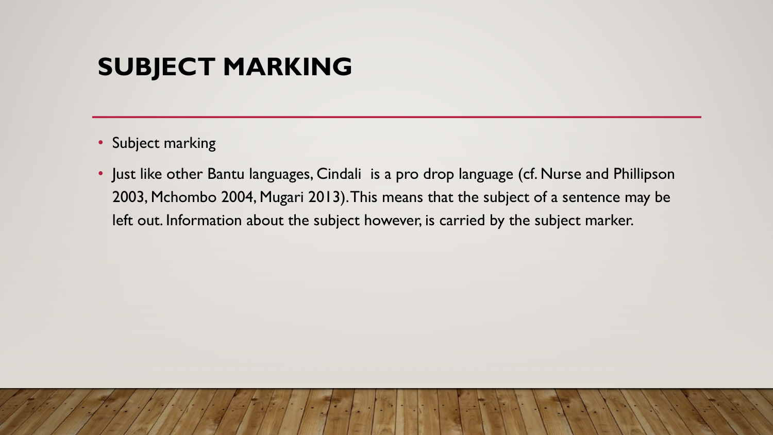- Subject marking
- Just like other Bantu languages, Cindali is a pro drop language (cf. Nurse and Phillipson 2003, Mchombo 2004, Mugari 2013). This means that the subject of a sentence may be left out. Information about the subject however, is carried by the subject marker.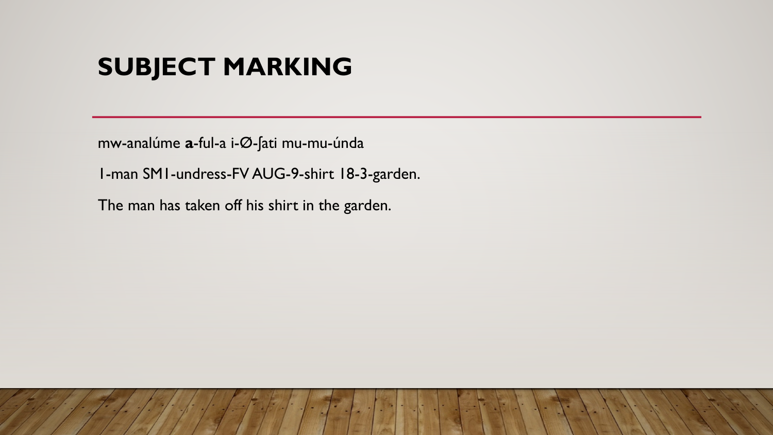mw-analúme **a**-ful-a i-Ø-ʃati mu-mu-únda

1-man SM1-undress-FV AUG-9-shirt 18-3-garden.

The man has taken off his shirt in the garden.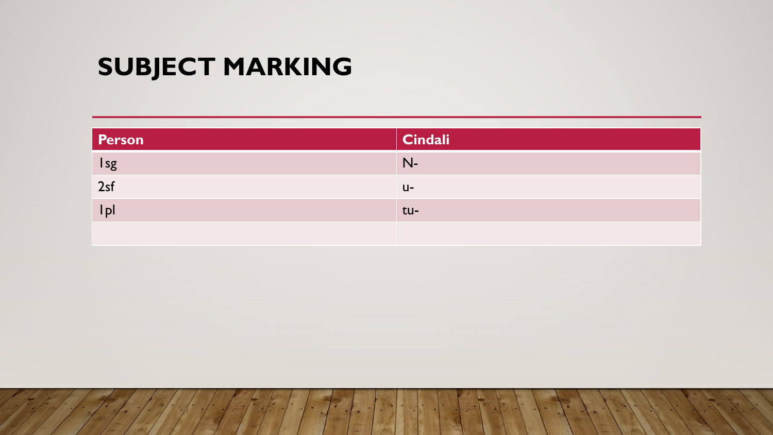| Person | Cindali |
|--------|---------|
| Isg    | $N-$    |
| 2sf    | $U -$   |
| Ipl    | tu-     |
|        |         |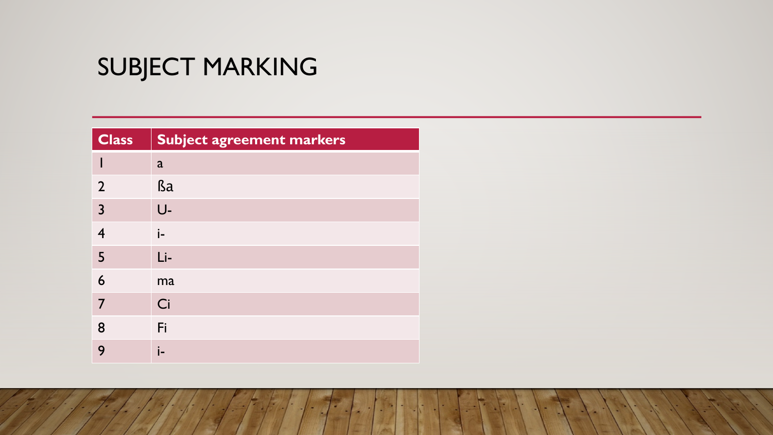| <b>Class</b>   | <b>Subject agreement markers</b> |
|----------------|----------------------------------|
|                | $\mathbf{a}$                     |
| $\overline{2}$ | <b>Ba</b>                        |
| $\overline{3}$ | U-                               |
| $\overline{4}$ | i-                               |
| $\overline{5}$ | $Li-$                            |
| 6              | ma                               |
| 7              | Ci                               |
| 8              | Fi                               |
| 9              | i-                               |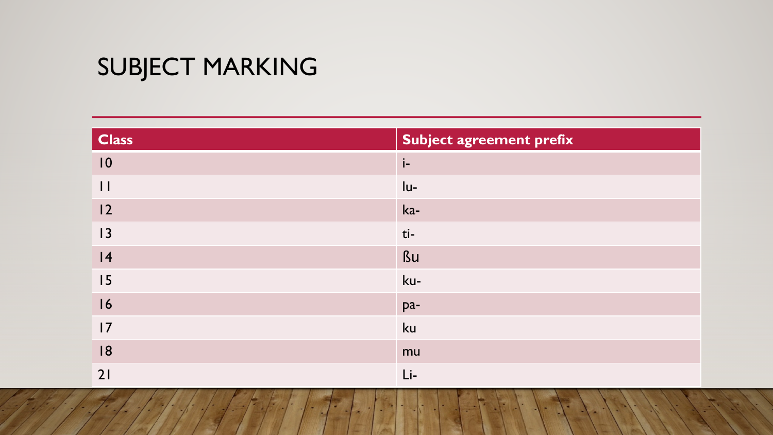| <b>Class</b>  | <b>Subject agreement prefix</b> |
|---------------|---------------------------------|
| 10            | $i-$                            |
| $\vert \vert$ | $ u-$                           |
| 12            | ka-                             |
| 13            | ti-                             |
| 4             | ßu                              |
| 15            | ku-                             |
| 16            | pa-                             |
| 17            | ku                              |
| 18            | mu                              |
| 21            | $Li-$                           |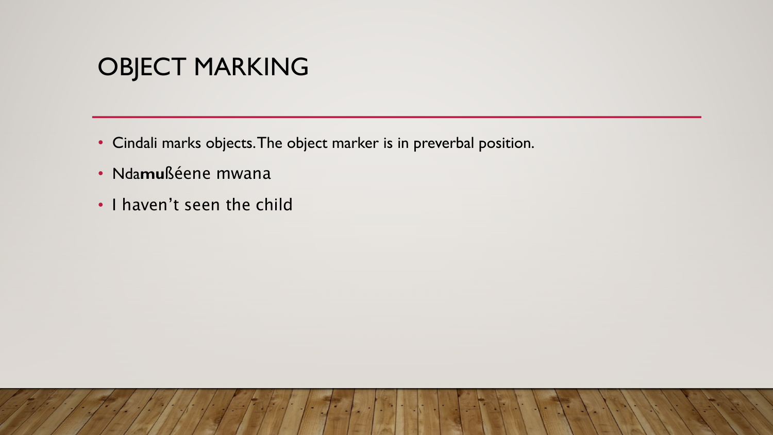#### OBJECT MARKING

- Cindali marks objects. The object marker is in preverbal position.
- Nda**mu**ßéene mwana
- I haven't seen the child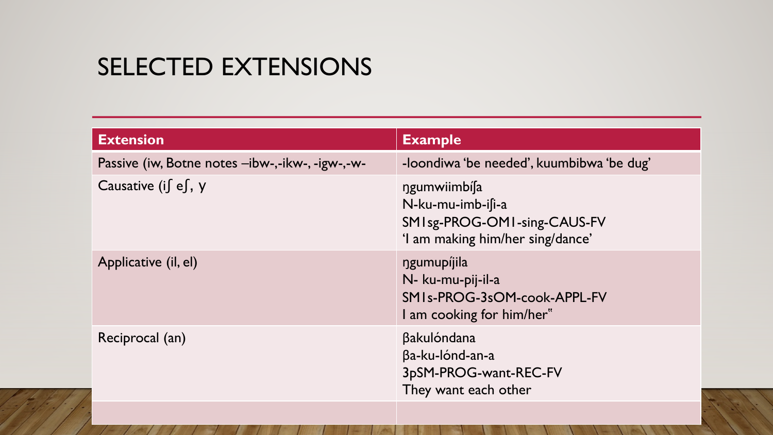#### SELECTED EXTENSIONS

| <b>Extension</b>                                | <b>Example</b>                                                                                            |
|-------------------------------------------------|-----------------------------------------------------------------------------------------------------------|
| Passive (iw, Botne notes -ibw-,-ikw-, -igw-,-w- | -loondiwa 'be needed', kuumbibwa 'be dug'                                                                 |
| Causative (if $ef, y$                           | ngumwiimbíla<br>N-ku-mu-imb-ifi-a<br>SMI sg-PROG-OMI-sing-CAUS-FV<br>'I am making him/her sing/dance'     |
| Applicative (il, el)                            | ngumupijila<br>N- ku-mu-pij-il-a<br>SMI <sub>s</sub> -PROG-3sOM-cook-APPL-FV<br>I am cooking for him/her" |
| Reciprocal (an)                                 | βakulóndana<br>βa-ku-lónd-an-a<br>3pSM-PROG-want-REC-FV<br>They want each other                           |